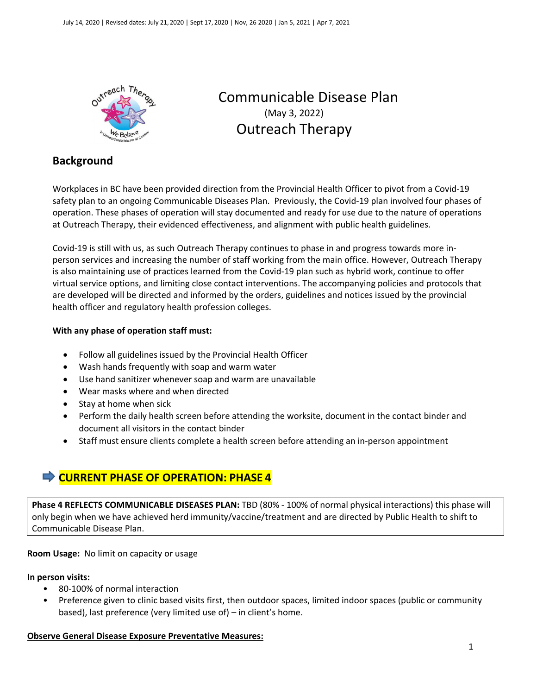

# Communicable Disease Plan (May 3, 2022) Outreach Therapy

## **Background**

Workplaces in BC have been provided direction from the Provincial Health Officer to pivot from a Covid-19 safety plan to an ongoing Communicable Diseases Plan. Previously, the Covid-19 plan involved four phases of operation. These phases of operation will stay documented and ready for use due to the nature of operations at Outreach Therapy, their evidenced effectiveness, and alignment with public health guidelines.

Covid-19 is still with us, as such Outreach Therapy continues to phase in and progress towards more inperson services and increasing the number of staff working from the main office. However, Outreach Therapy is also maintaining use of practices learned from the Covid-19 plan such as hybrid work, continue to offer virtual service options, and limiting close contact interventions. The accompanying policies and protocols that are developed will be directed and informed by the orders, guidelines and notices issued by the provincial health officer and regulatory health profession colleges.

## **With any phase of operation staff must:**

- Follow all guidelines issued by the Provincial Health Officer
- Wash hands frequently with soap and warm water
- Use hand sanitizer whenever soap and warm are unavailable
- Wear masks where and when directed
- Stay at home when sick
- Perform the daily health screen before attending the worksite, document in the contact binder and document all visitors in the contact binder
- Staff must ensure clients complete a health screen before attending an in-person appointment

## **CURRENT PHASE OF OPERATION: PHASE 4**

**Phase 4 REFLECTS COMMUNICABLE DISEASES PLAN:** TBD (80% - 100% of normal physical interactions) this phase will only begin when we have achieved herd immunity/vaccine/treatment and are directed by Public Health to shift to Communicable Disease Plan.

**Room Usage:** No limit on capacity or usage

## **In person visits:**

- 80-100% of normal interaction
- Preference given to clinic based visits first, then outdoor spaces, limited indoor spaces (public or community based), last preference (very limited use of) – in client's home.

## **Observe General Disease Exposure Preventative Measures:**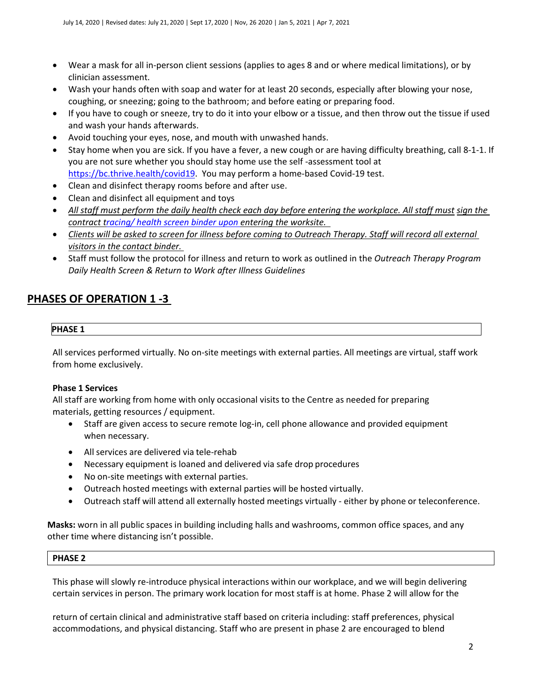- Wear a mask for all in-person client sessions (applies to ages 8 and or where medical limitations), or by clinician assessment.
- Wash your hands often with soap and water for at least 20 seconds, especially after blowing your nose, coughing, or sneezing; going to the bathroom; and before eating or preparing food.
- If you have to cough or sneeze, try to do it into your elbow or a tissue, and then throw out the tissue if used and wash your hands afterwards.
- Avoid touching your eyes, nose, and mouth with unwashed hands.
- Stay home when you are sick. If you have a fever, a new cough or are having difficulty breathing, call 8-1-1. If you are not sure whether you should stay home use the self -assessment tool at [https://bc.thrive.health/covid19.](https://bc.thrive.health/covid19) You may perform a home-based Covid-19 test.
- Clean and disinfect therapy rooms before and after use.
- Clean and disinfect all equipment and toys
- All staff must perform the daily health check each day before entering the workplace. All staff must *sign* the *contract [tracing/ health screen binder upon e](https://bc.thrive.health/covid19)ntering the worksite.*
- *Clients will be asked to screen for illness before coming to Outreach Therapy. Staff will record all external visitors in the contact binder.*
- Staff must follow the protocol for illness and return to work as outlined in the *Outreach Therapy Program Daily Health Screen & Return to Work after Illness Guidelines*

## **PHASES OF OPERATION 1 -3**

## **PHASE 1**

All services performed virtually. No on-site meetings with external parties. All meetings are virtual, staff work from home exclusively.

## **Phase 1 Services**

All staff are working from home with only occasional visits to the Centre as needed for preparing materials, getting resources / equipment.

- Staff are given access to secure remote log-in, cell phone allowance and provided equipment when necessary.
- All services are delivered via tele-rehab
- Necessary equipment is loaned and delivered via safe drop procedures
- No on-site meetings with external parties.
- Outreach hosted meetings with external parties will be hosted virtually.
- Outreach staff will attend all externally hosted meetings virtually either by phone or teleconference.

**Masks:** worn in all public spaces in building including halls and washrooms, common office spaces, and any other time where distancing isn't possible.

## **PHASE 2**

This phase will slowly re-introduce physical interactions within our workplace, and we will begin delivering certain services in person. The primary work location for most staff is at home. Phase 2 will allow for the

return of certain clinical and administrative staff based on criteria including: staff preferences, physical accommodations, and physical distancing. Staff who are present in phase 2 are encouraged to blend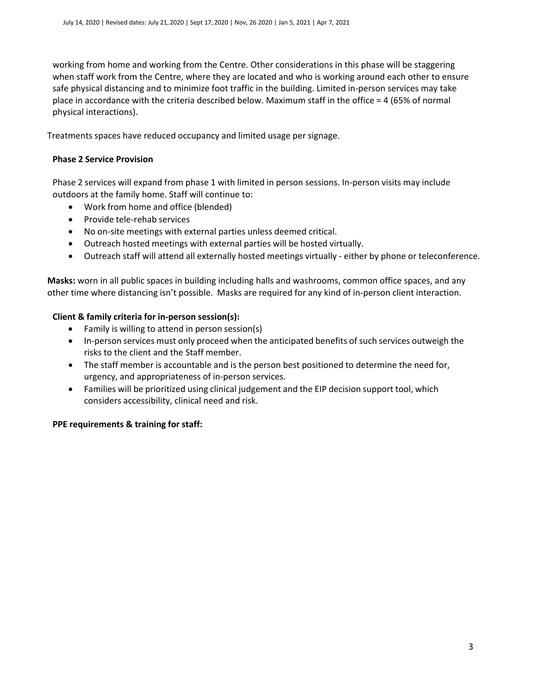working from home and working from the Centre. Other considerations in this phase will be staggering when staff work from the Centre, where they are located and who is working around each other to ensure safe physical distancing and to minimize foot traffic in the building. Limited in-person services may take place in accordance with the criteria described below. Maximum staff in the office = 4 (65% of normal physical interactions).

Treatments spaces have reduced occupancy and limited usage per signage.

## **Phase 2 Service Provision**

Phase 2 services will expand from phase 1 with limited in person sessions. In-person visits may include outdoors at the family home. Staff will continue to:

- Work from home and office (blended)
- Provide tele-rehab services
- No on-site meetings with external parties unless deemed critical.
- Outreach hosted meetings with external parties will be hosted virtually.
- Outreach staff will attend all externally hosted meetings virtually either by phone or teleconference.

**Masks:** worn in all public spaces in building including halls and washrooms, common office spaces, and any other time where distancing isn't possible. Masks are required for any kind of in-person client interaction.

## **Client & family criteria for in-person session(s):**

- Family is willing to attend in person session(s)
- In-person services must only proceed when the anticipated benefits of such services outweigh the risks to the client and the Staff member.
- The staff member is accountable and is the person best positioned to determine the need for, urgency, and appropriateness of in-person services.
- Families will be prioritized using clinical judgement and the EIP decision support tool, which considers accessibility, clinical need and risk.

## **PPE requirements & training for staff:**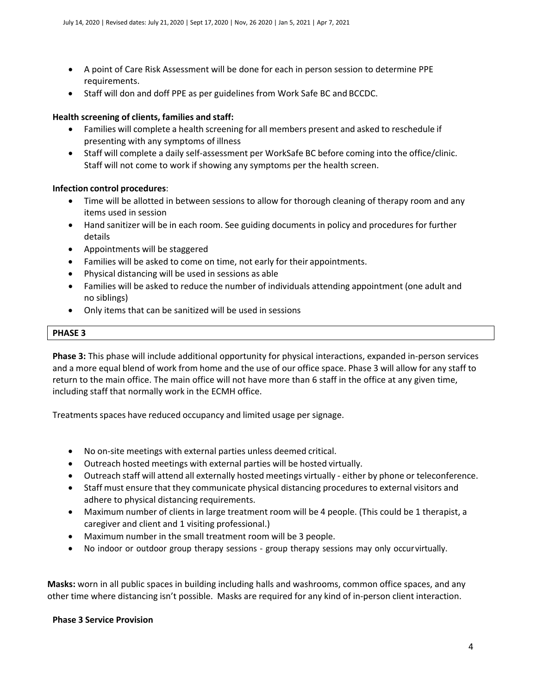- A point of Care Risk Assessment will be done for each in person session to determine PPE requirements.
- Staff will don and doff PPE as per guidelines from Work Safe BC and BCCDC.

#### **Health screening of clients, families and staff:**

- Families will complete a health screening for all members present and asked to reschedule if presenting with any symptoms of illness
- Staff will complete a daily self-assessment per WorkSafe BC before coming into the office/clinic. Staff will not come to work if showing any symptoms per the health screen.

#### **Infection control procedures**:

- Time will be allotted in between sessions to allow for thorough cleaning of therapy room and any items used in session
- Hand sanitizer will be in each room. See guiding documents in policy and procedures for further details
- Appointments will be staggered
- Families will be asked to come on time, not early for their appointments.
- Physical distancing will be used in sessions as able
- Families will be asked to reduce the number of individuals attending appointment (one adult and no siblings)
- Only items that can be sanitized will be used in sessions

#### **PHASE 3**

**Phase 3:** This phase will include additional opportunity for physical interactions, expanded in-person services and a more equal blend of work from home and the use of our office space. Phase 3 will allow for any staff to return to the main office. The main office will not have more than 6 staff in the office at any given time, including staff that normally work in the ECMH office.

Treatments spaces have reduced occupancy and limited usage per signage.

- No on-site meetings with external parties unless deemed critical.
- Outreach hosted meetings with external parties will be hosted virtually.
- Outreach staff will attend all externally hosted meetings virtually either by phone or teleconference.
- Staff must ensure that they communicate physical distancing procedures to external visitors and adhere to physical distancing requirements.
- Maximum number of clients in large treatment room will be 4 people. (This could be 1 therapist, a caregiver and client and 1 visiting professional.)
- Maximum number in the small treatment room will be 3 people.
- No indoor or outdoor group therapy sessions group therapy sessions may only occurvirtually.

**Masks:** worn in all public spaces in building including halls and washrooms, common office spaces, and any other time where distancing isn't possible. Masks are required for any kind of in-person client interaction.

#### **Phase 3 Service Provision**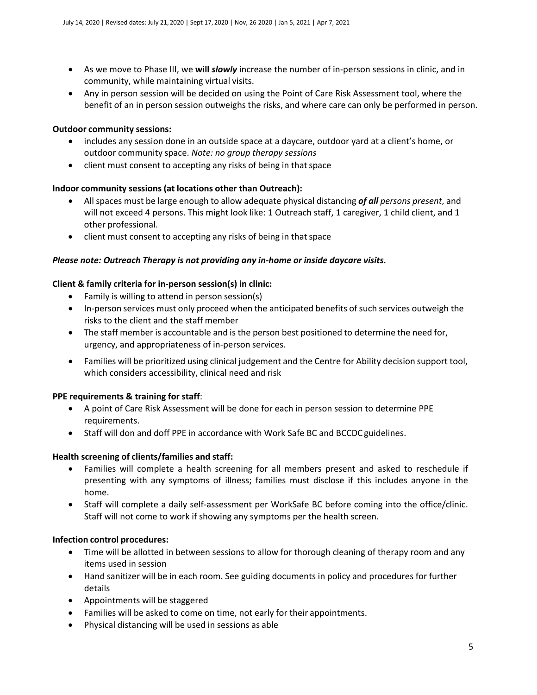- As we move to Phase III, we **will** *slowly* increase the number of in-person sessions in clinic, and in community, while maintaining virtual visits.
- Any in person session will be decided on using the Point of Care Risk Assessment tool, where the benefit of an in person session outweighs the risks, and where care can only be performed in person.

## **Outdoor community sessions:**

- includes any session done in an outside space at a daycare, outdoor yard at a client's home, or outdoor community space. *Note: no group therapy sessions*
- client must consent to accepting any risks of being in that space

## **Indoor community sessions (at locations other than Outreach):**

- All spaces must be large enough to allow adequate physical distancing *of all persons present*, and will not exceed 4 persons. This might look like: 1 Outreach staff, 1 caregiver, 1 child client, and 1 other professional.
- client must consent to accepting any risks of being in that space

## *Please note: Outreach Therapy is not providing any in-home or inside daycare visits.*

## **Client & family criteria for in-person session(s) in clinic:**

- Family is willing to attend in person session(s)
- In-person services must only proceed when the anticipated benefits of such services outweigh the risks to the client and the staff member
- The staff member is accountable and is the person best positioned to determine the need for, urgency, and appropriateness of in-person services.
- Families will be prioritized using clinical judgement and the Centre for Ability decision support tool, which considers accessibility, clinical need and risk

## **PPE requirements & training for staff**:

- A point of Care Risk Assessment will be done for each in person session to determine PPE requirements.
- Staff will don and doff PPE in accordance with Work Safe BC and BCCDC guidelines.

## **Health screening of clients/families and staff:**

- Families will complete a health screening for all members present and asked to reschedule if presenting with any symptoms of illness; families must disclose if this includes anyone in the home.
- Staff will complete a daily self-assessment per WorkSafe BC before coming into the office/clinic. Staff will not come to work if showing any symptoms per the health screen.

## **Infection control procedures:**

- Time will be allotted in between sessions to allow for thorough cleaning of therapy room and any items used in session
- Hand sanitizer will be in each room. See guiding documents in policy and procedures for further details
- Appointments will be staggered
- Families will be asked to come on time, not early for their appointments.
- Physical distancing will be used in sessions as able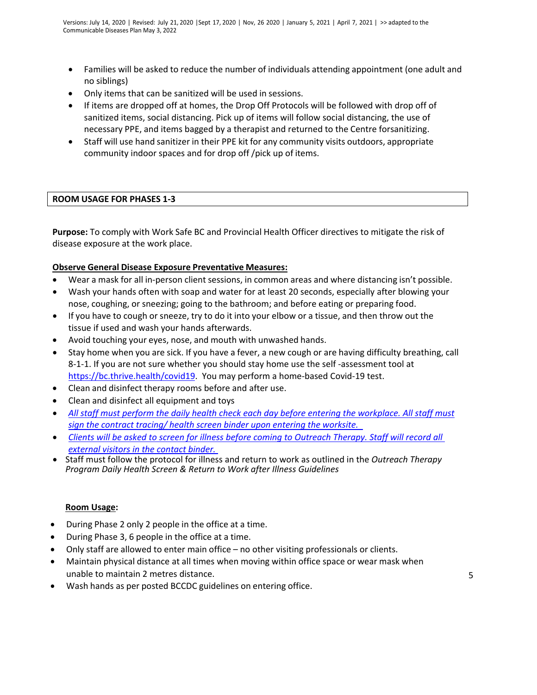- Families will be asked to reduce the number of individuals attending appointment (one adult and no siblings)
- Only items that can be sanitized will be used in sessions.
- If items are dropped off at homes, the Drop Off Protocols will be followed with drop off of sanitized items, social distancing. Pick up of items will follow social distancing, the use of necessary PPE, and items bagged by a therapist and returned to the Centre forsanitizing.
- Staff will use hand sanitizer in their PPE kit for any community visits outdoors, appropriate community indoor spaces and for drop off /pick up of items.

## **ROOM USAGE FOR PHASES 1-3**

**Purpose:** To comply with Work Safe BC and Provincial Health Officer directives to mitigate the risk of disease exposure at the work place.

## **Observe General Disease Exposure Preventative Measures:**

- Wear a mask for all in-person client sessions, in common areas and where distancing isn't possible.
- Wash your hands often with soap and water for at least 20 seconds, especially after blowing your nose, coughing, or sneezing; going to the bathroom; and before eating or preparing food.
- If you have to cough or sneeze, try to do it into your elbow or a tissue, and then throw out the tissue if used and wash your hands afterwards.
- Avoid touching your eyes, nose, and mouth with unwashed hands.
- Stay home when you are sick. If you have a fever, a new cough or are having difficulty breathing, call 8-1-1. If you are not sure whether you should stay home use the self -assessment tool at [https://bc.thrive.health/covid19.](https://bc.thrive.health/covid19) You may perform a home-based Covid-19 test.
- Clean and disinfect therapy rooms before and after use.
- Clean and disinfect all equipment and toys
- *All staff must perform the daily health check each day before entering the workplace. All staff must sign the contract [tracing/](https://bc.thrive.health/covid19) health screen binder upon entering the worksite.*
- *Clients will be asked to screen for illness before coming to Outreach Therapy. Staff will record all external visitors in the contact binder.*
- Staff must follow the protocol for illness and return to work as outlined in the *Outreach Therapy Program Daily Health Screen & Return to Work after Illness Guidelines*

## **Room Usage:**

- During Phase 2 only 2 people in the office at a time.
- During Phase 3, 6 people in the office at a time.
- Only staff are allowed to enter main office no other visiting professionals or clients.
- Maintain physical distance at all times when moving within office space or wear mask when unable to maintain 2 metres distance. 5
- Wash hands as per posted BCCDC guidelines on entering office.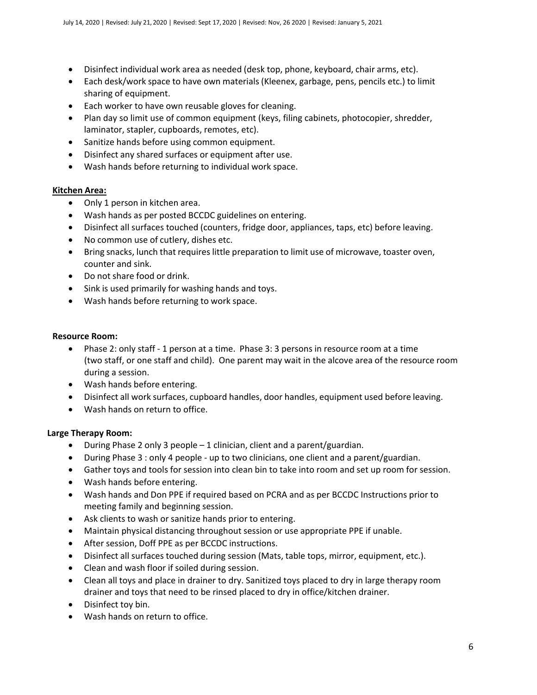- Disinfect individual work area as needed (desk top, phone, keyboard, chair arms, etc).
- Each desk/work space to have own materials (Kleenex, garbage, pens, pencils etc.) to limit sharing of equipment.
- Each worker to have own reusable gloves for cleaning.
- Plan day so limit use of common equipment (keys, filing cabinets, photocopier, shredder, laminator, stapler, cupboards, remotes, etc).
- Sanitize hands before using common equipment.
- Disinfect any shared surfaces or equipment after use.
- Wash hands before returning to individual work space.

## **Kitchen Area:**

- Only 1 person in kitchen area.
- Wash hands as per posted BCCDC guidelines on entering.
- Disinfect all surfaces touched (counters, fridge door, appliances, taps, etc) before leaving.
- No common use of cutlery, dishes etc.
- Bring snacks, lunch that requires little preparation to limit use of microwave, toaster oven, counter and sink.
- Do not share food or drink.
- Sink is used primarily for washing hands and toys.
- Wash hands before returning to work space.

## **Resource Room:**

- Phase 2: only staff 1 person at a time. Phase 3: 3 persons in resource room at a time (two staff, or one staff and child). One parent may wait in the alcove area of the resource room during a session.
- Wash hands before entering.
- Disinfect all work surfaces, cupboard handles, door handles, equipment used before leaving.
- Wash hands on return to office.

## **Large Therapy Room:**

- During Phase 2 only 3 people 1 clinician, client and a parent/guardian.
- During Phase 3 : only 4 people up to two clinicians, one client and a parent/guardian.
- Gather toys and tools for session into clean bin to take into room and set up room for session.
- Wash hands before entering.
- Wash hands and Don PPE if required based on PCRA and as per BCCDC Instructions prior to meeting family and beginning session.
- Ask clients to wash or sanitize hands prior to entering.
- Maintain physical distancing throughout session or use appropriate PPE if unable.
- After session, Doff PPE as per BCCDC instructions.
- Disinfect all surfaces touched during session (Mats, table tops, mirror, equipment, etc.).
- Clean and wash floor if soiled during session.
- Clean all toys and place in drainer to dry. Sanitized toys placed to dry in large therapy room drainer and toys that need to be rinsed placed to dry in office/kitchen drainer.
- Disinfect toy bin.
- Wash hands on return to office.